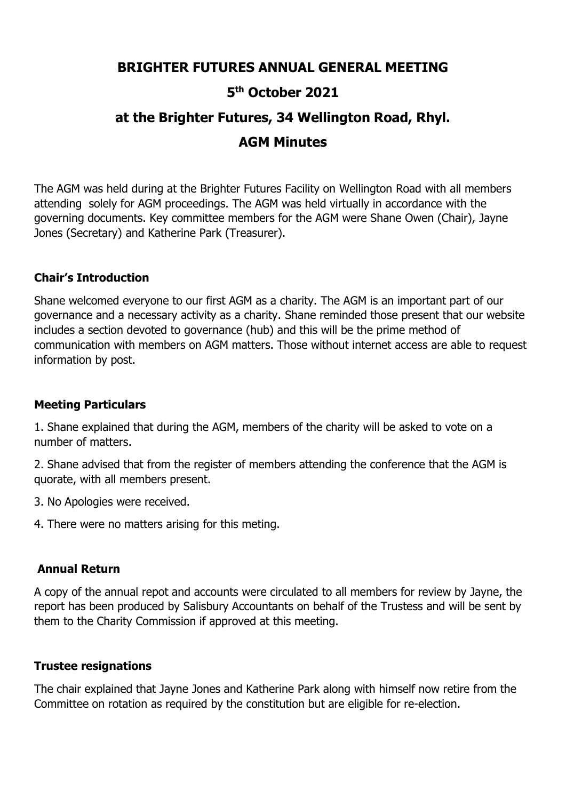## 5<sup>th</sup> October 2021

# BRIGHTER FUTURES ANNUAL GENERAL MEETING<br>5<sup>th</sup> October 2021<br>at the Brighter Futures, 34 Wellington Road, Rhyl. RES ANNUAL GENERAL MEETING<br><sup>th</sup> October 2021<br>tures, 34 Wellington Road, Rhyl.<br>AGM Minutes BRIGHTER FUTURES ANNUAL GENERAL MEETING<br>5<sup>th</sup> October 2021<br>at the Brighter Futures, 34 Wellington Road, Rhyl.<br>AGM Minutes ES ANNUAL GENERAL MEETING<br>
<sup>h</sup> October 2021<br>:ures, 34 Wellington Road, Rhyl.<br>AGM Minutes<br>.<br>Futures Facility on Wellington Road with all members

**BRIGHTER FUTURES ANNUAL GENERAL MEETING**<br>5<sup>th</sup> October 2021<br>at the Brighter Futures, 34 Wellington Road, Rhyl.<br>AGM Minutes<br>The AGM was held during at the Brighter Futures Facility on Wellington Road with all members<br>atten **BRIGHTER FUTURES ANNUAL GENERAL MEETING**<br>
5<sup>th</sup> October 2021<br>
at the Brighter Futures, 34 Wellington Road, Rhyl.<br>
AGM Minutes<br>
The AGM was held during at the Brighter Futures Facility on Wellington Road with all members<br> **BRIGHTER FUTURES ANNUAL GENERAL MEETING**<br>5<sup>th</sup> October 2021<br>at the Brighter Futures, 34 Wellington Road, Rhyl.<br>AGM Minutes<br>The AGM was held during at the Brighter Futures Facility on Wellington Road with all members<br>atten **BRIGHTER FUTURES ANNUAL GENERAL MEETING**<br>
5<sup>th</sup> October 2021<br>
at the Brighter Futures, 34 Wellington Road, Rhyl.<br> **AGM Minutes**<br>
The AGM was held during at the Brighter Futures Facility on Wellington Road with all members **BRIGHTER FUTURES ANNUAL GENERAL IS THE MANUAL STATE IS A MULTAIRM TO STATE AGM WAS Held during at the Brighter Futures, 34 Wellington Re<br>
The AGM was held during at the Brighter Futures Facility on Wellington<br>
The AGM was** 

**Shane welcomed everyone to our first AGM as a charity. The AGM is an important AGM was held during at the Brighter Futures Facility on Wellington Road, Rhyl.<br>
The AGM was held during at the Brighter Futures Facility on We EXECT SET ANNUAL GENERAL MEETING**<br>
5<sup>th</sup> October 2021<br>
at the Brighter Futures, 34 Wellington Road, Rhyl.<br>
AGM Minutes<br>
The AGM was held during at the Brighter Futures Facility on Wellington Road with all members<br>
attendi 5<sup>th</sup> October 2021<br>
at the Brighter Futures, 34 Wellington Road, Rhyl.<br>
AGM Was held during at the Brighter Futures Facility on Wellington Road with all members<br>
attending solely for AGM proceedings. The AGM was held virtu **accommunication With Members on AGM matters. 34 Wellington Road, Rhyl.**<br>
The AGM was held during at the Brighter Futures Facility on Wellington Road with all members<br>
attending solely for AGM proceedings. The AGM was he at the Brighter Futures, 34 Wellington Road, F<br> **AGM Minutes**<br>
The AGM was held during at the Brighter Futures Facility on Wellington Road<br>
attending solely for AGM proceedings. The AGM was held virtually in accorda<br>
gover The AGM was held during at the Brighter Futures Facility on Wellington<br>attending solely for AGM proceedings. The AGM was held virtually in a<br>governing documents. Key committee members for the AGM were Shan<br>Jones (Secretary The AGM was held during at the Brighter Futures Facility on Wellington Road with all members<br>attending solely for AGM proceedings. The AGM was held virtually in accordance with the<br>governing documents. Key committee member The Agriv was held during at the Brighter Tutures Factury on weining<br>on the action of governing documents. The AGM was held virtually in according solely for AGM procedings. The AGM as held virtually in accordings.<br>The act governing documents. Key committee members for the AGM were Shane Owen (Chair), Jayne<br>Jones (Secretary) and Katherine Park (Treasurer).<br> **Chair's Introduction**<br>
Shane welcomed everyone to our first AGM as a charity. The AG Jones (Secretary) and Katherine Park (Treasurer).<br> **Chair's Introduction**<br> **Chair's Introduction**<br>
Shane welcomed everyone to our first AGM as a charity. The AGM is an important part of<br>
governance and a necessary activity **Chair's Introduction**<br>
Shane welcomed everyone to our first AGM as a charity. The AGM is an important p<br>
governance and a necessary activity as a charity. Shane reminded those present the<br>
includes a section devoted to go **Chair's Introduction**<br>
Shane welcomed everyone to our first AGM as a charity. The AGM is an important part of our<br>
governance and a necessary activity as a charity. Shane reminded those present that our website<br>
includes Solution and a necessary activity as a charity. Shaile reminded those<br>notledes a section devoted to governance (hub) and this will be the prin<br>communication with members on AGM matters. Those without internet<br>formation by

communication with members on AGM matters. Those without internet access are able to request<br>information by post.<br>**Meeting Particulars**<br>Meeting **Particulars**<br>annumber of matters.<br>2. Shane edvised that from the register of information by post.<br> **Meeting Particulars**<br>
1. Shane explained that during the AGM, members of the charity will be asked to vote on a<br>
2. Shane advised that from the register of members attending the conference that the A **Meeting Particulars**<br>1. Shane explained that during the AGM, members of the charity will be asked to vote on a<br>number of matters.<br>2. Shane advised that from the register of members attending the conference that the AGM is 1. Shane explained that during the AGM, members of the charity will be<br>number of matters.<br>2. Shane advised that from the register of members attending the conf<br>quorate, with all members present.<br>3. No Apologies were receiv number of matters.<br>
2. Shane advised that from the register of members attending the conference that the AGM is<br>
3. No Apologies were received.<br>
4. There were no matters arising for this meting.<br> **Annual Return**<br>
A copy of 2. Shane advised that from the register of members attending the conference that the AGM is<br>quorate, with all members present.<br>3. No Apologies were received.<br>4. There were no matters arising for this meting.<br>Annual Return<br>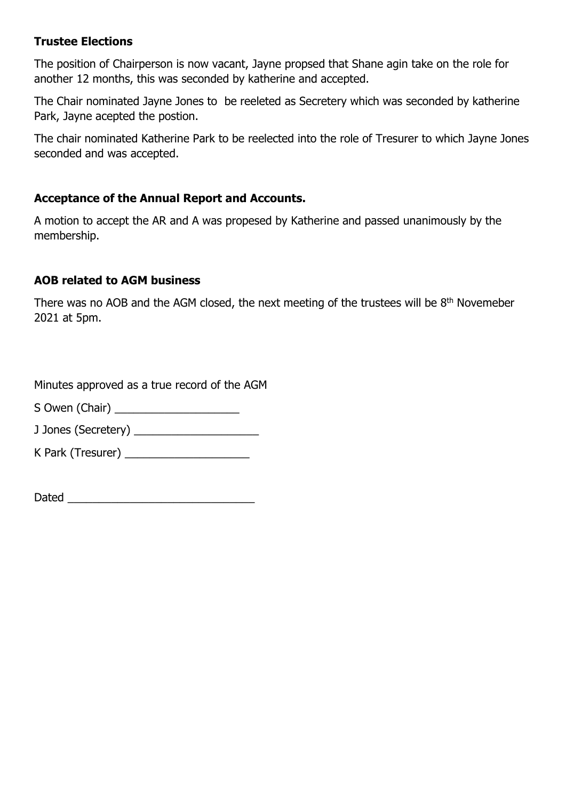Trustee Elections<br>The position of Chairperson is now vacant, Jayne propsed that Shane a<br>another 12 months, this was seconded by katherine and accepted. **Trustee Elections**<br>The position of Chairperson is now vacant, Jayne propsed that Shane agin take on the role for<br>another 12 months, this was seconded by katherine and accepted.<br>The Chair nominated Jayne Jones to be reelet

Trustee Elections<br>The position of Chairperson is now vacant, Jayne propsed that Shane agin take on the role for<br>another 12 months, this was seconded by katherine and accepted.<br>The Chair nominated Jayne Jones to be reeleted **Trustee Elections**<br>The position of Chairperson is now vacant, Jayne propsed that Shane agin take on the role for<br>another 12 months, this was seconded by katherine and accepted.<br>The Chair nominated Jayne Jones to be reelet

**Trustee Elections**<br>The position of Chairperson is now vacant, Jayne propsed that Shane agin take on the<br>another 12 months, this was seconded by katherine and accepted.<br>The Chair nominated Jayne Jones to be reeleted as Sec Trustee Elections<br>The position of Chairperson is now vacant, Jayne propsed that Shane agin take on the role for<br>another 12 months, this was seconded by katherine and accepted.<br>The Chair nominated Jayne Jones to be reelecte **Trustee Elections**<br>The position of Chairperson is now vacant, Jayne propsed that Shane agin take o<br>another 12 months, this was seconded by katherine and accepted.<br>The Chair nominated Jayne Jones to be reeleted as Secreter **Trustee Elections**<br>The position of Chairperson is now vacant, Jayne propsed that Shane agin take on the role for<br>another 12 months, this was seconded by katherine and accepted.<br>The Chair nominated Jayne Jones to be reelet **Trustee Elections**<br>The position of Chairperson is now vacant, Jayne propsed that Shane agin take on the role for<br>another 12 monthated Jayne seconded by katherine and accepted.<br>Park, Jayne acepted the position.<br>The chair n The position of Chairperson is now vacant, Jayne propsed that Shane agin take on the role for<br>another 12 months, this was seconded by katherine and accepted.<br>The Chair nominated Jayne Jones to be reeleted as Secretery whic The chair nominated Katherine Park to be reelected into the role of Tresurer to which Jayne Jones<br>seconded and was accepted.<br>**Acceptance of the Annual Report and Accounts.**<br>A motion to accept the AR and A was propesed by K

membership.

**Trustee Elections**<br>The position of Chairperson is now vacant, Jayne propsed that Shane agin take on th<br>another 12 months, this was seconded by katherine and accepted.<br>The Chair nominated Jayne Jones to be reeleted as Secr The position of changes on is now vacant, Jaylie propsed that shalle<br>another 12 months, this was seconded by katherine and accepted.<br>The Chair nominated Jayne Jones to be reeleted as Secretery which v<br>Park, Jayne acepted t **Acceptance of the Annual Report and Accounts.**<br>
A motion to accept the AR and A was propesed by Katherine and passed unar<br>
membership.<br> **AOB related to AGM business**<br>
There was no AOB and the AGM closed, the next meeting Acceptance of the Annual Report and Accounts.<br>
A motion to accept the AR and A was propesed by Katherine and passed unanime<br>
membership.<br> **AOB related to AGM business**<br>
There was no AOB and the AGM closed, the next meeting A motion to accept the AR and A was propesed by Katherine and passed unanin<br>
membership.<br> **AOB related to AGM business**<br>
There was no AOB and the AGM closed, the next meeting of the trustees will be<br>
2021 at 5pm.<br>
Minutes Dated \_\_\_\_\_\_\_\_\_\_\_\_\_\_\_\_\_\_\_\_\_\_\_\_\_\_\_\_\_\_

| Dated |  |  |  |
|-------|--|--|--|
|       |  |  |  |